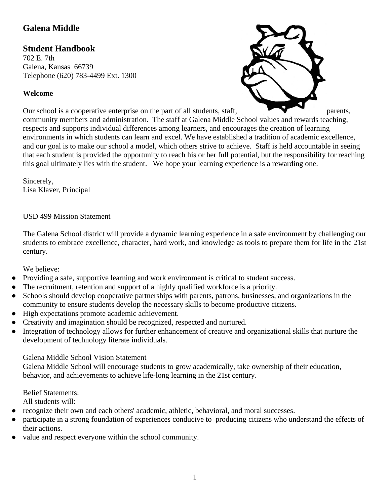# **Galena Middle**

# **Student Handbook**

702 E. 7th Galena, Kansas 66739 Telephone (620) 783-4499 Ext. 1300

# **Welcome**



Our school is a cooperative enterprise on the part of all students, staff, parents, community members and administration. The staff at Galena Middle School values and rewards teaching, respects and supports individual differences among learners, and encourages the creation of learning environments in which students can learn and excel. We have established a tradition of academic excellence, and our goal is to make our school a model, which others strive to achieve. Staff is held accountable in seeing that each student is provided the opportunity to reach his or her full potential, but the responsibility for reaching this goal ultimately lies with the student. We hope your learning experience is a rewarding one.

Sincerely, Lisa Klaver, Principal

#### USD 499 Mission Statement

The Galena School district will provide a dynamic learning experience in a safe environment by challenging our students to embrace excellence, character, hard work, and knowledge as tools to prepare them for life in the 21st century.

#### We believe:

- Providing a safe, supportive learning and work environment is critical to student success.
- The recruitment, retention and support of a highly qualified workforce is a priority.
- Schools should develop cooperative partnerships with parents, patrons, businesses, and organizations in the community to ensure students develop the necessary skills to become productive citizens.
- High expectations promote academic achievement.
- Creativity and imagination should be recognized, respected and nurtured.
- Integration of technology allows for further enhancement of creative and organizational skills that nurture the development of technology literate individuals.

#### Galena Middle School Vision Statement

Galena Middle School will encourage students to grow academically, take ownership of their education, behavior, and achievements to achieve life-long learning in the 21st century.

#### Belief Statements:

All students will:

- recognize their own and each others' academic, athletic, behavioral, and moral successes.
- participate in a strong foundation of experiences conducive to producing citizens who understand the effects of their actions.
- value and respect everyone within the school community.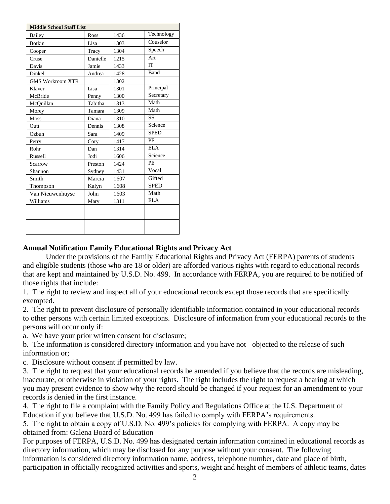| <b>Middle School Staff List</b> |          |      |             |  |
|---------------------------------|----------|------|-------------|--|
| Bailey                          | Ross     | 1436 | Technology  |  |
| <b>Botkin</b>                   | Lisa     | 1303 | Couselor    |  |
| Cooper                          | Tracy    | 1304 | Speech      |  |
| Cruse                           | Danielle | 1215 | Art         |  |
| Davis                           | Jamie    | 1433 | <b>IT</b>   |  |
| Dinkel                          | Andrea   | 1428 | Band        |  |
| <b>GMS Workroom XTR</b>         |          | 1302 |             |  |
| Klaver                          | Lisa     | 1301 | Principal   |  |
| McBride                         | Penny    | 1300 | Secretary   |  |
| McQuillan                       | Tabitha  | 1313 | Math        |  |
| Morey                           | Tamara   | 1309 | Math        |  |
| <b>Moss</b>                     | Diana    | 1310 | <b>SS</b>   |  |
| Outt                            | Dennis   | 1308 | Science     |  |
| Ozbun                           | Sara     | 1409 | <b>SPED</b> |  |
| Perry                           | Cory     | 1417 | <b>PE</b>   |  |
| Rohr                            | Dan      | 1314 | ELA         |  |
| Russell                         | Jodi     | 1606 | Science     |  |
| Scarrow                         | Preston  | 1424 | PE          |  |
| Shannon                         | Sydney   | 1431 | Vocal       |  |
| Smith                           | Marcia   | 1607 | Gifted      |  |
| Thompson                        | Kalyn    | 1608 | <b>SPED</b> |  |
| Van Nieuwenhuyse                | John     | 1603 | Math        |  |
| Williams                        | Mary     | 1311 | <b>ELA</b>  |  |
|                                 |          |      |             |  |
|                                 |          |      |             |  |
|                                 |          |      |             |  |
|                                 |          |      |             |  |

#### **Annual Notification Family Educational Rights and Privacy Act**

Under the provisions of the Family Educational Rights and Privacy Act (FERPA) parents of students and eligible students (those who are 18 or older) are afforded various rights with regard to educational records that are kept and maintained by U.S.D. No. 499. In accordance with FERPA, you are required to be notified of those rights that include:

1. The right to review and inspect all of your educational records except those records that are specifically exempted.

2. The right to prevent disclosure of personally identifiable information contained in your educational records to other persons with certain limited exceptions. Disclosure of information from your educational records to the persons will occur only if:

a. We have your prior written consent for disclosure;

b. The information is considered directory information and you have not objected to the release of such information or;

c. Disclosure without consent if permitted by law.

3. The right to request that your educational records be amended if you believe that the records are misleading, inaccurate, or otherwise in violation of your rights. The right includes the right to request a hearing at which you may present evidence to show why the record should be changed if your request for an amendment to your records is denied in the first instance.

4. The right to file a complaint with the Family Policy and Regulations Office at the U.S. Department of Education if you believe that U.S.D. No. 499 has failed to comply with FERPA's requirements.

5. The right to obtain a copy of U.S.D. No. 499's policies for complying with FERPA. A copy may be obtained from: Galena Board of Education

For purposes of FERPA, U.S.D. No. 499 has designated certain information contained in educational records as directory information, which may be disclosed for any purpose without your consent. The following information is considered directory information name, address, telephone number, date and place of birth, participation in officially recognized activities and sports, weight and height of members of athletic teams, dates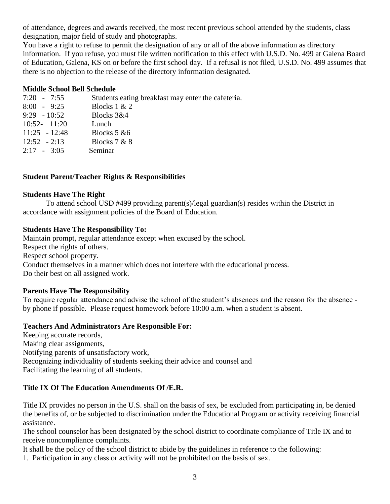of attendance, degrees and awards received, the most recent previous school attended by the students, class designation, major field of study and photographs.

You have a right to refuse to permit the designation of any or all of the above information as directory information. If you refuse, you must file written notification to this effect with U.S.D. No. 499 at Galena Board of Education, Galena, KS on or before the first school day. If a refusal is not filed, U.S.D. No. 499 assumes that there is no objection to the release of the directory information designated.

#### **Middle School Bell Schedule**

| $7:20 - 7:55$   | Students eating breakfast may enter the cafeteria. |
|-----------------|----------------------------------------------------|
| $8:00 - 9:25$   | Blocks $1 & 2$                                     |
| $9:29 - 10:52$  | Blocks 3&4                                         |
| $10:52 - 11:20$ | Lunch                                              |
| $11:25 - 12:48$ | Blocks $5 \& 6$                                    |
| $12:52 - 2:13$  | Blocks $7 & 8$                                     |
| $2:17 - 3:05$   | Seminar                                            |
|                 |                                                    |

## **Student Parent/Teacher Rights & Responsibilities**

#### **Students Have The Right**

To attend school USD #499 providing parent(s)/legal guardian(s) resides within the District in accordance with assignment policies of the Board of Education.

## **Students Have The Responsibility To:**

Maintain prompt, regular attendance except when excused by the school. Respect the rights of others. Respect school property. Conduct themselves in a manner which does not interfere with the educational process. Do their best on all assigned work.

# **Parents Have The Responsibility**

To require regular attendance and advise the school of the student's absences and the reason for the absence by phone if possible. Please request homework before 10:00 a.m. when a student is absent.

#### **Teachers And Administrators Are Responsible For:**

Keeping accurate records, Making clear assignments, Notifying parents of unsatisfactory work, Recognizing individuality of students seeking their advice and counsel and Facilitating the learning of all students.

# **Title IX Of The Education Amendments Of /E.R.**

Title IX provides no person in the U.S. shall on the basis of sex, be excluded from participating in, be denied the benefits of, or be subjected to discrimination under the Educational Program or activity receiving financial assistance.

The school counselor has been designated by the school district to coordinate compliance of Title IX and to receive noncompliance complaints.

It shall be the policy of the school district to abide by the guidelines in reference to the following:

1. Participation in any class or activity will not be prohibited on the basis of sex.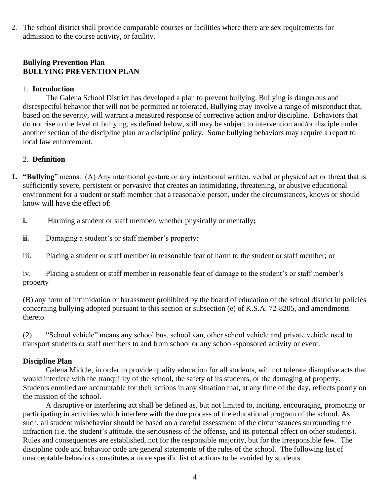2. The school district shall provide comparable courses or facilities where there are sex requirements for admission to the course activity, or facility.

## **Bullying Prevention Plan BULLYING PREVENTION PLAN**

#### 1. **Introduction**

The Galena School District has developed a plan to prevent bullying. Bullying is dangerous and disrespectful behavior that will not be permitted or tolerated. Bullying may involve a range of misconduct that, based on the severity, will warrant a measured response of corrective action and/or discipline. Behaviors that do not rise to the level of bullying, as defined below, still may be subject to intervention and/or disciple under another section of the discipline plan or a discipline policy. Some bullying behaviors may require a report to local law enforcement.

## 2. **Definition**

- **1. "Bullying**" means: (A) Any intentional gesture or any intentional written, verbal or physical act or threat that is sufficiently severe, persistent or pervasive that creates an intimidating, threatening, or abusive educational environment for a student or staff member that a reasonable person, under the circumstances, knows or should know will have the effect of:
	- **i.** Harming a student or staff member, whether physically or mentally;
	- **ii.** Damaging a student's or staff member's property:
	- iii. Placing a student or staff member in reasonable fear of harm to the student or staff member; or

iv. Placing a student or staff member in reasonable fear of damage to the student's or staff member's property

(B) any form of intimidation or harassment prohibited by the board of education of the school district in policies concerning bullying adopted pursuant to this section or subsection (e) of K.S.A. 72-8205, and amendments thereto.

(2) "School vehicle" means any school bus, school van, other school vehicle and private vehicle used to transport students or staff members to and from school or any school-sponsored activity or event.

#### **Discipline Plan**

Galena Middle, in order to provide quality education for all students, will not tolerate disruptive acts that would interfere with the tranquility of the school, the safety of its students, or the damaging of property. Students enrolled are accountable for their actions in any situation that, at any time of the day, reflects poorly on the mission of the school.

A disruptive or interfering act shall be defined as, but not limited to, inciting, encouraging, promoting or participating in activities which interfere with the due process of the educational program of the school. As such, all student misbehavior should be based on a careful assessment of the circumstances surrounding the infraction (i.e. the student's attitude, the seriousness of the offense, and its potential effect on other students). Rules and consequences are established, not for the responsible majority, but for the irresponsible few. The discipline code and behavior code are general statements of the rules of the school. The following list of unacceptable behaviors constitutes a more specific list of actions to be avoided by students.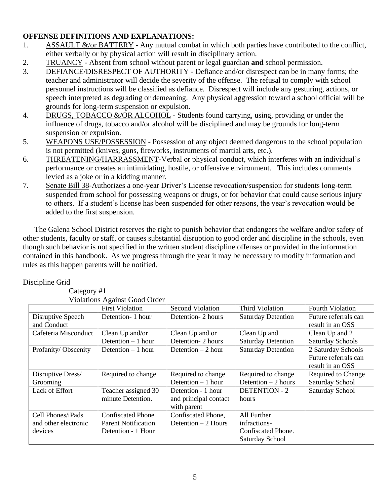#### **OFFENSE DEFINITIONS AND EXPLANATIONS:**

- 1. ASSAULT &/or BATTERY Any mutual combat in which both parties have contributed to the conflict, either verbally or by physical action will result in disciplinary action.
- 2. TRUANCY Absent from school without parent or legal guardian **and** school permission.
- 3. DEFIANCE/DISRESPECT OF AUTHORITY Defiance and/or disrespect can be in many forms; the teacher and administrator will decide the severity of the offense. The refusal to comply with school personnel instructions will be classified as defiance. Disrespect will include any gesturing, actions, or speech interpreted as degrading or demeaning. Any physical aggression toward a school official will be grounds for long-term suspension or expulsion.
- 4. DRUGS, TOBACCO &/OR ALCOHOL Students found carrying, using, providing or under the influence of drugs, tobacco and/or alcohol will be disciplined and may be grounds for long-term suspension or expulsion.
- 5. WEAPONS USE/POSSESSION Possession of any object deemed dangerous to the school population is not permitted (knives, guns, fireworks, instruments of martial arts, etc.).
- 6. THREATENING/HARRASSMENT-Verbal or physical conduct, which interferes with an individual's performance or creates an intimidating, hostile, or offensive environment. This includes comments levied as a joke or in a kidding manner.
- 7. Senate Bill 38-Authorizes a one-year Driver's License revocation/suspension for students long-term suspended from school for possessing weapons or drugs, or for behavior that could cause serious injury to others. If a student's license has been suspended for other reasons, the year's revocation would be added to the first suspension.

The Galena School District reserves the right to punish behavior that endangers the welfare and/or safety of other students, faculty or staff, or causes substantial disruption to good order and discipline in the schools, even though such behavior is not specified in the written student discipline offenses or provided in the information contained in this handbook. As we progress through the year it may be necessary to modify information and rules as this happen parents will be notified.

#### Discipline Grid

Category #1

Violations Against Good Order

|                      | r foldtfolls i realitist Obou Oruci |                       |                           |                         |
|----------------------|-------------------------------------|-----------------------|---------------------------|-------------------------|
|                      | <b>First Violation</b>              | Second Violation      | Third Violation           | <b>Fourth Violation</b> |
| Disruptive Speech    | Detention-1 hour                    | Detention-2 hours     | <b>Saturday Detention</b> | Future referrals can    |
| and Conduct          |                                     |                       |                           | result in an OSS        |
| Cafeteria Misconduct | Clean Up and/or                     | Clean Up and or       | Clean Up and              | Clean Up and 2          |
|                      | Detention $-1$ hour                 | Detention-2 hours     | <b>Saturday Detention</b> | <b>Saturday Schools</b> |
| Profanity/Obscenity  | Detention $-1$ hour                 | Detention $-2$ hour   | <b>Saturday Detention</b> | 2 Saturday Schools      |
|                      |                                     |                       |                           | Future referrals can    |
|                      |                                     |                       |                           | result in an OSS        |
| Disruptive Dress/    | Required to change                  | Required to change    | Required to change        | Required to Change      |
| Grooming             |                                     | Detention $-1$ hour   | Detention $-2$ hours      | Saturday School         |
| Lack of Effort       | Teacher assigned 30                 | Detention - 1 hour    | <b>DETENTION - 2</b>      | Saturday School         |
|                      | minute Detention.                   | and principal contact | hours                     |                         |
|                      |                                     | with parent           |                           |                         |
| Cell Phones/iPads    | <b>Confiscated Phone</b>            | Confiscated Phone,    | All Further               |                         |
| and other electronic | <b>Parent Notification</b>          | Detention $-2$ Hours  | infractions-              |                         |
| devices              | Detention - 1 Hour                  |                       | Confiscated Phone.        |                         |
|                      |                                     |                       | Saturday School           |                         |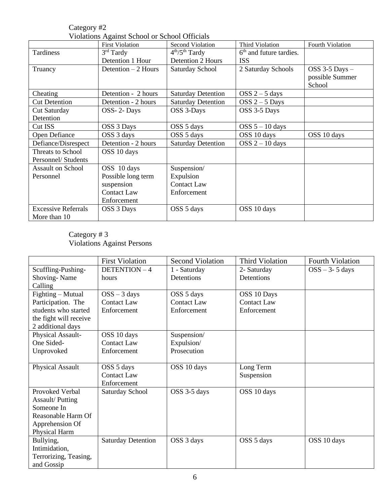Category #2 Violations Against School or School Officials

|                            | VIOIALIONS Against Denool of Denool Officials |                           |                                     |                  |
|----------------------------|-----------------------------------------------|---------------------------|-------------------------------------|------------------|
|                            | <b>First Violation</b>                        | <b>Second Violation</b>   | Third Violation                     | Fourth Violation |
| Tardiness                  | $3rd$ Tardy                                   | $4th/5th$ Tardy           | 6 <sup>th</sup> and future tardies. |                  |
|                            | Detention 1 Hour                              | <b>Detention 2 Hours</b>  | <b>ISS</b>                          |                  |
| Truancy                    | Detention $-2$ Hours                          | <b>Saturday School</b>    | 2 Saturday Schools                  | OSS 3-5 Days -   |
|                            |                                               |                           |                                     | possible Summer  |
|                            |                                               |                           |                                     | School           |
| Cheating                   | Detention - 2 hours                           | <b>Saturday Detention</b> | $OSS 2 - 5$ days                    |                  |
| <b>Cut Detention</b>       | Detention - 2 hours                           | <b>Saturday Detention</b> | $OSS 2 - 5$ Days                    |                  |
| Cut Saturday               | OSS-2-Days                                    | OSS 3-Days                | OSS 3-5 Days                        |                  |
| Detention                  |                                               |                           |                                     |                  |
| Cut ISS                    | OSS 3 Days                                    | OSS 5 days                | $OSS 5 - 10 \text{ days}$           |                  |
| Open Defiance              | OSS 3 days                                    | OSS 5 days                | OSS 10 days                         | OSS 10 days      |
| Defiance/Disrespect        | Detention - 2 hours                           | <b>Saturday Detention</b> | $OSS 2 - 10$ days                   |                  |
| Threats to School          | OSS 10 days                                   |                           |                                     |                  |
| Personnel/Students         |                                               |                           |                                     |                  |
| <b>Assault on School</b>   | OSS 10 days                                   | Suspension/               |                                     |                  |
| Personnel                  | Possible long term                            | Expulsion                 |                                     |                  |
|                            | suspension                                    | <b>Contact Law</b>        |                                     |                  |
|                            | <b>Contact Law</b>                            | Enforcement               |                                     |                  |
|                            | Enforcement                                   |                           |                                     |                  |
| <b>Excessive Referrals</b> | OSS 3 Days                                    | OSS 5 days                | OSS 10 days                         |                  |
| More than 10               |                                               |                           |                                     |                  |

#### Category # 3 Violations Against Persons

|                        | <b>First Violation</b>    | <b>Second Violation</b> | <b>Third Violation</b> | <b>Fourth Violation</b> |
|------------------------|---------------------------|-------------------------|------------------------|-------------------------|
| Scuffling-Pushing-     | DETENTION-4               | 1 - Saturday            | 2- Saturday            | $OSS - 3 - 5$ days      |
| Shoving-Name           | hours                     | Detentions              | Detentions             |                         |
| Calling                |                           |                         |                        |                         |
| Fighting – Mutual      | $OSS - 3$ days            | OSS 5 days              | OSS 10 Days            |                         |
| Participation. The     | <b>Contact Law</b>        | <b>Contact Law</b>      | <b>Contact Law</b>     |                         |
| students who started   | Enforcement               | Enforcement             | Enforcement            |                         |
| the fight will receive |                           |                         |                        |                         |
| 2 additional days      |                           |                         |                        |                         |
| Physical Assault-      | OSS 10 days               | Suspension/             |                        |                         |
| One Sided-             | <b>Contact Law</b>        | Expulsion/              |                        |                         |
| Unprovoked             | Enforcement               | Prosecution             |                        |                         |
|                        |                           |                         |                        |                         |
| Physical Assault       | OSS 5 days                | OSS 10 days             | Long Term              |                         |
|                        | <b>Contact Law</b>        |                         | Suspension             |                         |
|                        | Enforcement               |                         |                        |                         |
| Provoked Verbal        | Saturday School           | OSS 3-5 days            | OSS 10 days            |                         |
| <b>Assault/Putting</b> |                           |                         |                        |                         |
| Someone In             |                           |                         |                        |                         |
| Reasonable Harm Of     |                           |                         |                        |                         |
| Apprehension Of        |                           |                         |                        |                         |
| Physical Harm          |                           |                         |                        |                         |
| Bullying,              | <b>Saturday Detention</b> | OSS 3 days              | OSS 5 days             | OSS 10 days             |
| Intimidation,          |                           |                         |                        |                         |
| Terrorizing, Teasing,  |                           |                         |                        |                         |
| and Gossip             |                           |                         |                        |                         |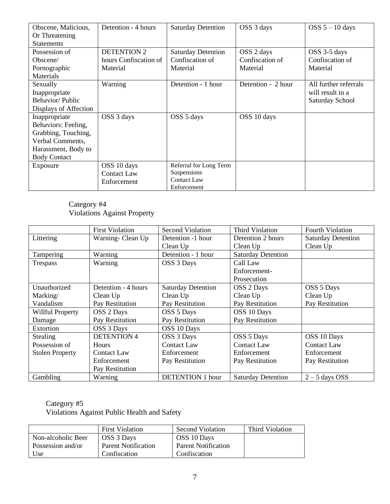| Obscene, Malicious,   | Detention - 4 hours   | <b>Saturday Detention</b> | OSS 3 days         | $OSS 5 - 10$ days     |
|-----------------------|-----------------------|---------------------------|--------------------|-----------------------|
| Or Threatening        |                       |                           |                    |                       |
| <b>Statements</b>     |                       |                           |                    |                       |
| Possession of         | <b>DETENTION 2</b>    | <b>Saturday Detention</b> | OSS 2 days         | OSS 3-5 days          |
| Obscene/              | hours Confiscation of | Confiscation of           | Confiscation of    | Confiscation of       |
| Pornographic          | Material              | Material                  | Material           | Material              |
| Materials             |                       |                           |                    |                       |
| Sexually              | Warning               | Detention - 1 hour        | Detention - 2 hour | All further referrals |
| Inappropriate         |                       |                           |                    | will result in a      |
| Behavior/Public       |                       |                           |                    | Saturday School       |
| Displays of Affection |                       |                           |                    |                       |
| Inappropriate         | OSS 3 days            | OSS 5 days                | OSS 10 days        |                       |
| Behaviors: Feeling,   |                       |                           |                    |                       |
| Grabbing, Touching,   |                       |                           |                    |                       |
| Verbal Comments,      |                       |                           |                    |                       |
| Harassment, Body to   |                       |                           |                    |                       |
| <b>Body Contact</b>   |                       |                           |                    |                       |
| Exposure              | OSS 10 days           | Referral for Long Term    |                    |                       |
|                       | <b>Contact Law</b>    | Suspensions               |                    |                       |
|                       | Enforcement           | <b>Contact Law</b>        |                    |                       |
|                       |                       | Enforcement               |                    |                       |

#### Category #4 Violations Against Property

|                        | <b>First Violation</b> | <b>Second Violation</b>   | Third Violation           | <b>Fourth Violation</b>   |
|------------------------|------------------------|---------------------------|---------------------------|---------------------------|
| Littering              | Warning-Clean Up       | Detention -1 hour         | Detention 2 hours         | <b>Saturday Detention</b> |
|                        |                        | Clean Up                  | Clean Up                  | Clean Up                  |
| Tampering              | Warning                | Detention - 1 hour        | <b>Saturday Detention</b> |                           |
| <b>Trespass</b>        | Warning                | OSS 3 Days                | Call Law                  |                           |
|                        |                        |                           | Enforcement-              |                           |
|                        |                        |                           | Prosecution               |                           |
| Unauthorized           | Detention - 4 hours    | <b>Saturday Detention</b> | OSS 2 Days                | OSS 5 Days                |
| Marking/               | Clean Up               | Clean Up                  | Clean Up                  | Clean Up                  |
| Vandalism              | Pay Restitution        | Pay Restitution           | Pay Restitution           | Pay Restitution           |
| Willful Property       | OSS 2 Days             | OSS 5 Days                | OSS 10 Days               |                           |
| Damage                 | Pay Restitution        | Pay Restitution           | Pay Restitution           |                           |
| Extortion              | OSS 3 Days             | OSS 10 Days               |                           |                           |
| <b>Stealing</b>        | <b>DETENTION 4</b>     | OSS 3 Days                | OSS 5 Days                | OSS 10 Days               |
| Possession of          | <b>Hours</b>           | <b>Contact Law</b>        | <b>Contact Law</b>        | <b>Contact Law</b>        |
| <b>Stolen Property</b> | <b>Contact Law</b>     | Enforcement               | Enforcement               | Enforcement               |
|                        | Enforcement            | Pay Restitution           | Pay Restitution           | Pay Restitution           |
|                        | Pay Restitution        |                           |                           |                           |
| Gambling               | Warning                | <b>DETENTION 1 hour</b>   | <b>Saturday Detention</b> | $2 - 5$ days OSS          |

#### Category #5

Violations Against Public Health and Safety

|                    | <b>First Violation</b> | Second Violation           | Third Violation |
|--------------------|------------------------|----------------------------|-----------------|
| Non-alcoholic Beer | OSS 3 Days             | OSS 10 Days                |                 |
| Possession and/or  | Parent Notification    | <b>Parent Notification</b> |                 |
| Use                | Confiscation           | Confiscation               |                 |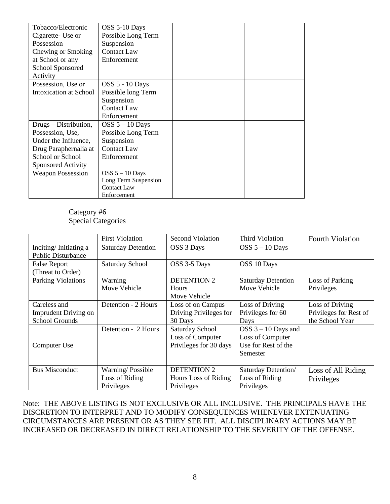| Tobacco/Electronic        | OSS 5-10 Days          |
|---------------------------|------------------------|
| Cigarette- Use or         | Possible Long Term     |
| Possession                | Suspension             |
| Chewing or Smoking        | <b>Contact Law</b>     |
| at School or any          | Enforcement            |
| School Sponsored          |                        |
| Activity                  |                        |
| Possession, Use or        | <b>OSS 5 - 10 Days</b> |
| Intoxication at School    | Possible long Term     |
|                           | Suspension             |
|                           | <b>Contact Law</b>     |
|                           | Enforcement            |
| Drugs – Distribution,     | $OSS 5 - 10$ Days      |
| Possession, Use,          | Possible Long Term     |
| Under the Influence,      | Suspension             |
| Drug Paraphernalia at     | <b>Contact Law</b>     |
| School or School          | Enforcement            |
| <b>Sponsored Activity</b> |                        |
| <b>Weapon Possession</b>  | $OSS 5 - 10$ Days      |
|                           | Long Term Suspension   |
|                           | <b>Contact Law</b>     |
|                           | Enforcement            |

Category #6 Special Categories

|                                                               | <b>First Violation</b>                           | <b>Second Violation</b>                                       | Third Violation                                                              | Fourth Violation                                             |
|---------------------------------------------------------------|--------------------------------------------------|---------------------------------------------------------------|------------------------------------------------------------------------------|--------------------------------------------------------------|
| Inciting/Initiating a<br><b>Public Disturbance</b>            | <b>Saturday Detention</b>                        | OSS 3 Days                                                    | OSS $5 - 10$ Days                                                            |                                                              |
| <b>False Report</b><br>(Threat to Order)                      | Saturday School                                  | OSS 3-5 Days                                                  | OSS 10 Days                                                                  |                                                              |
| Parking Violations                                            | Warning<br>Move Vehicle                          | <b>DETENTION 2</b><br><b>Hours</b><br>Move Vehicle            | <b>Saturday Detention</b><br>Move Vehicle                                    | Loss of Parking<br>Privileges                                |
| Careless and<br>Imprudent Driving on<br><b>School Grounds</b> | Detention - 2 Hours                              | Loss of on Campus<br>Driving Privileges for<br>30 Days        | Loss of Driving<br>Privileges for 60<br>Days                                 | Loss of Driving<br>Privileges for Rest of<br>the School Year |
| Computer Use                                                  | Detention - 2 Hours                              | Saturday School<br>Loss of Computer<br>Privileges for 30 days | $OSS$ 3 – 10 Days and<br>Loss of Computer<br>Use for Rest of the<br>Semester |                                                              |
| <b>Bus Misconduct</b>                                         | Warning/Possible<br>Loss of Riding<br>Privileges | <b>DETENTION 2</b><br>Hours Loss of Riding<br>Privileges      | Saturday Detention/<br>Loss of Riding<br>Privileges                          | Loss of All Riding<br>Privileges                             |

Note: THE ABOVE LISTING IS NOT EXCLUSIVE OR ALL INCLUSIVE. THE PRINCIPALS HAVE THE DISCRETION TO INTERPRET AND TO MODIFY CONSEQUENCES WHENEVER EXTENUATING CIRCUMSTANCES ARE PRESENT OR AS THEY SEE FIT. ALL DISCIPLINARY ACTIONS MAY BE INCREASED OR DECREASED IN DIRECT RELATIONSHIP TO THE SEVERITY OF THE OFFENSE.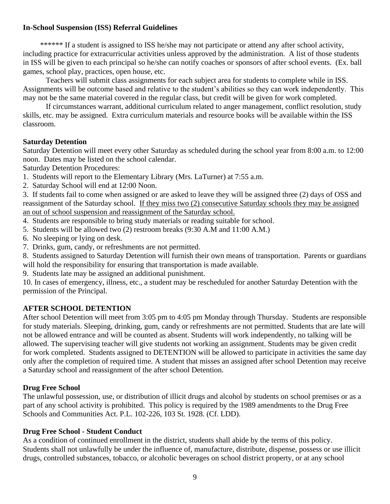#### **In-School Suspension (ISS) Referral Guidelines**

\*\*\*\*\*\* If a student is assigned to ISS he/she may not participate or attend any after school activity, including practice for extracurricular activities unless approved by the administration. A list of those students in ISS will be given to each principal so he/she can notify coaches or sponsors of after school events. (Ex. ball games, school play, practices, open house, etc.

Teachers will submit class assignments for each subject area for students to complete while in ISS. Assignments will be outcome based and relative to the student's abilities so they can work independently. This may not be the same material covered in the regular class, but credit will be given for work completed.

If circumstances warrant, additional curriculum related to anger management, conflict resolution, study skills, etc. may be assigned. Extra curriculum materials and resource books will be available within the ISS classroom.

## **Saturday Detention**

Saturday Detention will meet every other Saturday as scheduled during the school year from 8:00 a.m. to 12:00 noon. Dates may be listed on the school calendar.

Saturday Detention Procedures:

- 1. Students will report to the Elementary Library (Mrs. LaTurner) at 7:55 a.m.
- 2. Saturday School will end at 12:00 Noon.

3. If students fail to come when assigned or are asked to leave they will be assigned three (2) days of OSS and reassignment of the Saturday school. If they miss two (2) consecutive Saturday schools they may be assigned an out of school suspension and reassignment of the Saturday school.

- 4. Students are responsible to bring study materials or reading suitable for school.
- 5. Students will be allowed two (2) restroom breaks (9:30 A.M and 11:00 A.M.)
- 6. No sleeping or lying on desk.
- 7. Drinks, gum, candy, or refreshments are not permitted.
- 8. Students assigned to Saturday Detention will furnish their own means of transportation. Parents or guardians will hold the responsibility for ensuring that transportation is made available.
- 9. Students late may be assigned an additional punishment.

10. In cases of emergency, illness, etc., a student may be rescheduled for another Saturday Detention with the permission of the Principal.

# **AFTER SCHOOL DETENTION**

After school Detention will meet from 3:05 pm to 4:05 pm Monday through Thursday. Students are responsible for study materials. Sleeping, drinking, gum, candy or refreshments are not permitted. Students that are late will not be allowed entrance and will be counted as absent. Students will work independently, no talking will be allowed. The supervising teacher will give students not working an assignment. Students may be given credit for work completed. Students assigned to DETENTION will be allowed to participate in activities the same day only after the completion of required time. A student that misses an assigned after school Detention may receive a Saturday school and reassignment of the after school Detention.

#### **Drug Free School**

The unlawful possession, use, or distribution of illicit drugs and alcohol by students on school premises or as a part of any school activity is prohibited. This policy is required by the 1989 amendments to the Drug Free Schools and Communities Act. P.L. 102-226, 103 St. 1928. (Cf. LDD).

#### **Drug Free School - Student Conduct**

As a condition of continued enrollment in the district, students shall abide by the terms of this policy. Students shall not unlawfully be under the influence of, manufacture, distribute, dispense, possess or use illicit drugs, controlled substances, tobacco, or alcoholic beverages on school district property, or at any school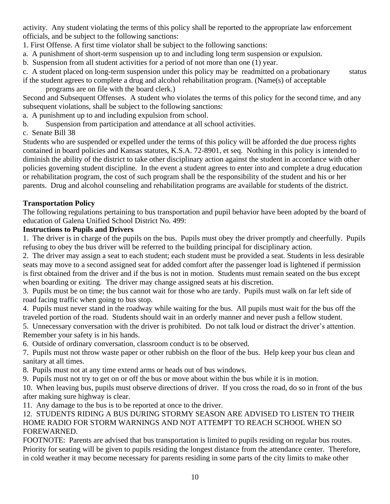activity. Any student violating the terms of this policy shall be reported to the appropriate law enforcement officials, and be subject to the following sanctions:

1. First Offense. A first time violator shall be subject to the following sanctions:

a. A punishment of short-term suspension up to and including long term suspension or expulsion.

b. Suspension from all student activities for a period of not more than one (1) year.

c. A student placed on long-term suspension under this policy may be readmitted on a probationary status

if the student agrees to complete a drug and alcohol rehabilitation program. (Name(s) of acceptable programs are on file with the board clerk.)

Second and Subsequent Offenses. A student who violates the terms of this policy for the second time, and any subsequent violations, shall be subject to the following sanctions:

a. A punishment up to and including expulsion from school.

b. Suspension from participation and attendance at all school activities.

c. Senate Bill 38

Students who are suspended or expelled under the terms of this policy will be afforded the due process rights contained in board policies and Kansas statutes, K.S.A. 72-8901, et seq. Nothing in this policy is intended to diminish the ability of the district to take other disciplinary action against the student in accordance with other policies governing student discipline. In the event a student agrees to enter into and complete a drug education or rehabilitation program, the cost of such program shall be the responsibility of the student and his or her parents. Drug and alcohol counseling and rehabilitation programs are available for students of the district.

## **Transportation Policy**

The following regulations pertaining to bus transportation and pupil behavior have been adopted by the board of education of Galena Unified School District No. 499:

#### **Instructions to Pupils and Drivers**

1. The driver is in charge of the pupils on the bus. Pupils must obey the driver promptly and cheerfully. Pupils refusing to obey the bus driver will be referred to the building principal for disciplinary action.

2. The driver may assign a seat to each student; each student must be provided a seat. Students in less desirable seats may move to a second assigned seat for added comfort after the passenger load is lightened if permission is first obtained from the driver and if the bus is not in motion. Students must remain seated on the bus except when boarding or exiting. The driver may change assigned seats at his discretion.

3. Pupils must be on time; the bus cannot wait for those who are tardy. Pupils must walk on far left side of road facing traffic when going to bus stop.

4. Pupils must never stand in the roadway while waiting for the bus. All pupils must wait for the bus off the traveled portion of the road. Students should wait in an orderly manner and never push a fellow student.

5. Unnecessary conversation with the driver is prohibited. Do not talk loud or distract the driver's attention. Remember your safety is in his hands.

6. Outside of ordinary conversation, classroom conduct is to be observed.

7. Pupils must not throw waste paper or other rubbish on the floor of the bus. Help keep your bus clean and sanitary at all times.

8. Pupils must not at any time extend arms or heads out of bus windows.

9. Pupils must not try to get on or off the bus or move about within the bus while it is in motion.

10. When leaving bus, pupils must observe directions of driver. If you cross the road, do so in front of the bus after making sure highway is clear.

11. Any damage to the bus is to be reported at once to the driver.

## 12. STUDENTS RIDING A BUS DURING STORMY SEASON ARE ADVISED TO LISTEN TO THEIR HOME RADIO FOR STORM WARNINGS AND NOT ATTEMPT TO REACH SCHOOL WHEN SO FOREWARNED.

FOOTNOTE: Parents are advised that bus transportation is limited to pupils residing on regular bus routes. Priority for seating will be given to pupils residing the longest distance from the attendance center. Therefore, in cold weather it may become necessary for parents residing in some parts of the city limits to make other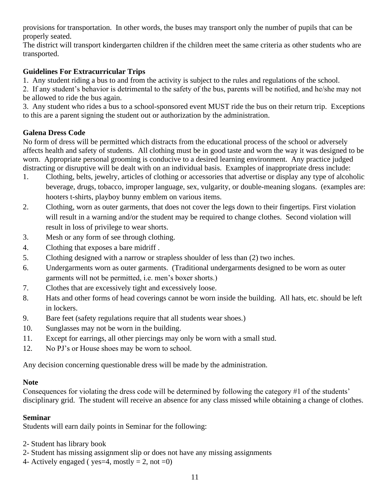provisions for transportation. In other words, the buses may transport only the number of pupils that can be properly seated.

The district will transport kindergarten children if the children meet the same criteria as other students who are transported.

# **Guidelines For Extracurricular Trips**

1. Any student riding a bus to and from the activity is subject to the rules and regulations of the school.

2. If any student's behavior is detrimental to the safety of the bus, parents will be notified, and he/she may not be allowed to ride the bus again.

3. Any student who rides a bus to a school-sponsored event MUST ride the bus on their return trip. Exceptions to this are a parent signing the student out or authorization by the administration.

# **Galena Dress Code**

No form of dress will be permitted which distracts from the educational process of the school or adversely affects health and safety of students. All clothing must be in good taste and worn the way it was designed to be worn. Appropriate personal grooming is conducive to a desired learning environment. Any practice judged distracting or disruptive will be dealt with on an individual basis. Examples of inappropriate dress include:

- 1. Clothing, belts, jewelry, articles of clothing or accessories that advertise or display any type of alcoholic beverage, drugs, tobacco, improper language, sex, vulgarity, or double-meaning slogans. (examples are: hooters t-shirts, playboy bunny emblem on various items.
- 2. Clothing, worn as outer garments, that does not cover the legs down to their fingertips. First violation will result in a warning and/or the student may be required to change clothes. Second violation will result in loss of privilege to wear shorts.
- 3. Mesh or any form of see through clothing.
- 4. Clothing that exposes a bare midriff .
- 5. Clothing designed with a narrow or strapless shoulder of less than (2) two inches.
- 6. Undergarments worn as outer garments. (Traditional undergarments designed to be worn as outer garments will not be permitted, i.e. men's boxer shorts.)
- 7. Clothes that are excessively tight and excessively loose.
- 8. Hats and other forms of head coverings cannot be worn inside the building. All hats, etc. should be left in lockers.
- 9. Bare feet (safety regulations require that all students wear shoes.)
- 10. Sunglasses may not be worn in the building.
- 11. Except for earrings, all other piercings may only be worn with a small stud.
- 12. No PJ's or House shoes may be worn to school.

Any decision concerning questionable dress will be made by the administration.

#### **Note**

Consequences for violating the dress code will be determined by following the category #1 of the students' disciplinary grid. The student will receive an absence for any class missed while obtaining a change of clothes.

# **Seminar**

Students will earn daily points in Seminar for the following:

- 2- Student has library book
- 2- Student has missing assignment slip or does not have any missing assignments
- 4- Actively engaged ( yes=4, mostly = 2, not = 0)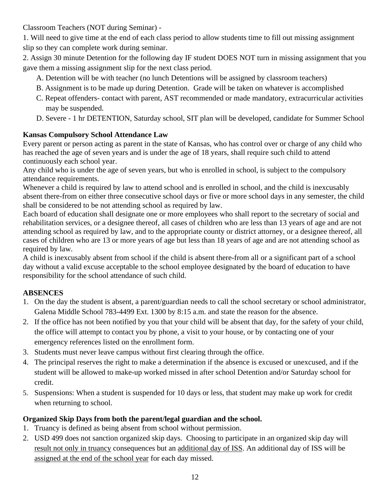Classroom Teachers (NOT during Seminar) -

1. Will need to give time at the end of each class period to allow students time to fill out missing assignment slip so they can complete work during seminar.

2. Assign 30 minute Detention for the following day IF student DOES NOT turn in missing assignment that you gave them a missing assignment slip for the next class period.

- A. Detention will be with teacher (no lunch Detentions will be assigned by classroom teachers)
- B. Assignment is to be made up during Detention. Grade will be taken on whatever is accomplished
- C. Repeat offenders- contact with parent, AST recommended or made mandatory, extracurricular activities may be suspended.
- D. Severe 1 hr DETENTION, Saturday school, SIT plan will be developed, candidate for Summer School

# **Kansas Compulsory School Attendance Law**

Every parent or person acting as parent in the state of Kansas, who has control over or charge of any child who has reached the age of seven years and is under the age of 18 years, shall require such child to attend continuously each school year.

Any child who is under the age of seven years, but who is enrolled in school, is subject to the compulsory attendance requirements.

Whenever a child is required by law to attend school and is enrolled in school, and the child is inexcusably absent there-from on either three consecutive school days or five or more school days in any semester, the child shall be considered to be not attending school as required by law.

Each board of education shall designate one or more employees who shall report to the secretary of social and rehabilitation services, or a designee thereof, all cases of children who are less than 13 years of age and are not attending school as required by law, and to the appropriate county or district attorney, or a designee thereof, all cases of children who are 13 or more years of age but less than 18 years of age and are not attending school as required by law.

A child is inexcusably absent from school if the child is absent there-from all or a significant part of a school day without a valid excuse acceptable to the school employee designated by the board of education to have responsibility for the school attendance of such child.

# **ABSENCES**

- 1. On the day the student is absent, a parent/guardian needs to call the school secretary or school administrator, Galena Middle School 783-4499 Ext. 1300 by 8:15 a.m. and state the reason for the absence.
- 2. If the office has not been notified by you that your child will be absent that day, for the safety of your child, the office will attempt to contact you by phone, a visit to your house, or by contacting one of your emergency references listed on the enrollment form.
- 3. Students must never leave campus without first clearing through the office.
- 4. The principal reserves the right to make a determination if the absence is excused or unexcused, and if the student will be allowed to make-up worked missed in after school Detention and/or Saturday school for credit.
- 5. Suspensions: When a student is suspended for 10 days or less, that student may make up work for credit when returning to school.

# **Organized Skip Days from both the parent/legal guardian and the school.**

- 1. Truancy is defined as being absent from school without permission.
- 2. USD 499 does not sanction organized skip days. Choosing to participate in an organized skip day will result not only in truancy consequences but an additional day of ISS. An additional day of ISS will be assigned at the end of the school year for each day missed.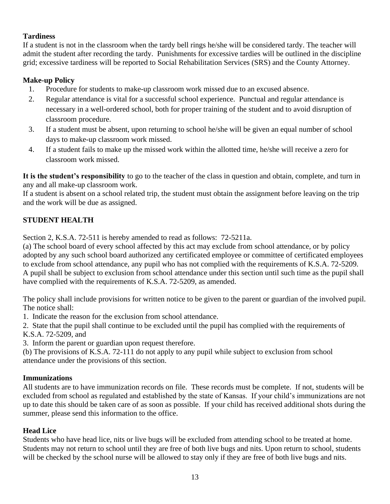## **Tardiness**

If a student is not in the classroom when the tardy bell rings he/she will be considered tardy. The teacher will admit the student after recording the tardy. Punishments for excessive tardies will be outlined in the discipline grid; excessive tardiness will be reported to Social Rehabilitation Services (SRS) and the County Attorney.

## **Make-up Policy**

- 1. Procedure for students to make-up classroom work missed due to an excused absence.
- 2. Regular attendance is vital for a successful school experience. Punctual and regular attendance is necessary in a well-ordered school, both for proper training of the student and to avoid disruption of classroom procedure.
- 3. If a student must be absent, upon returning to school he/she will be given an equal number of school days to make-up classroom work missed.
- 4. If a student fails to make up the missed work within the allotted time, he/she will receive a zero for classroom work missed.

**It is the student's responsibility** to go to the teacher of the class in question and obtain, complete, and turn in any and all make-up classroom work.

If a student is absent on a school related trip, the student must obtain the assignment before leaving on the trip and the work will be due as assigned.

## **STUDENT HEALTH**

Section 2, K.S.A. 72-511 is hereby amended to read as follows: 72-5211a.

(a) The school board of every school affected by this act may exclude from school attendance, or by policy adopted by any such school board authorized any certificated employee or committee of certificated employees to exclude from school attendance, any pupil who has not complied with the requirements of K.S.A. 72-5209. A pupil shall be subject to exclusion from school attendance under this section until such time as the pupil shall have complied with the requirements of K.S.A. 72-5209, as amended.

The policy shall include provisions for written notice to be given to the parent or guardian of the involved pupil. The notice shall:

1. Indicate the reason for the exclusion from school attendance.

2. State that the pupil shall continue to be excluded until the pupil has complied with the requirements of K.S.A. 72-5209, and

3. Inform the parent or guardian upon request therefore.

(b) The provisions of K.S.A. 72-111 do not apply to any pupil while subject to exclusion from school attendance under the provisions of this section.

#### **Immunizations**

All students are to have immunization records on file. These records must be complete. If not, students will be excluded from school as regulated and established by the state of Kansas. If your child's immunizations are not up to date this should be taken care of as soon as possible. If your child has received additional shots during the summer, please send this information to the office.

#### **Head Lice**

Students who have head lice, nits or live bugs will be excluded from attending school to be treated at home. Students may not return to school until they are free of both live bugs and nits. Upon return to school, students will be checked by the school nurse will be allowed to stay only if they are free of both live bugs and nits.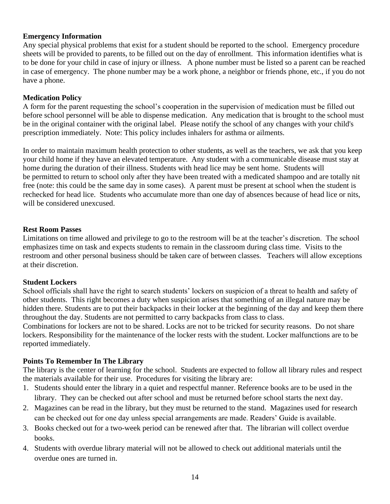#### **Emergency Information**

Any special physical problems that exist for a student should be reported to the school. Emergency procedure sheets will be provided to parents, to be filled out on the day of enrollment. This information identifies what is to be done for your child in case of injury or illness. A phone number must be listed so a parent can be reached in case of emergency. The phone number may be a work phone, a neighbor or friends phone, etc., if you do not have a phone.

#### **Medication Policy**

A form for the parent requesting the school's cooperation in the supervision of medication must be filled out before school personnel will be able to dispense medication. Any medication that is brought to the school must be in the original container with the original label. Please notify the school of any changes with your child's prescription immediately. Note: This policy includes inhalers for asthma or ailments.

In order to maintain maximum health protection to other students, as well as the teachers, we ask that you keep your child home if they have an elevated temperature. Any student with a communicable disease must stay at home during the duration of their illness. Students with head lice may be sent home. Students will be permitted to return to school only after they have been treated with a medicated shampoo and are totally nit free (note: this could be the same day in some cases). A parent must be present at school when the student is rechecked for head lice. Students who accumulate more than one day of absences because of head lice or nits, will be considered unexcused.

#### **Rest Room Passes**

Limitations on time allowed and privilege to go to the restroom will be at the teacher's discretion. The school emphasizes time on task and expects students to remain in the classroom during class time. Visits to the restroom and other personal business should be taken care of between classes. Teachers will allow exceptions at their discretion.

#### **Student Lockers**

School officials shall have the right to search students' lockers on suspicion of a threat to health and safety of other students. This right becomes a duty when suspicion arises that something of an illegal nature may be hidden there. Students are to put their backpacks in their locker at the beginning of the day and keep them there throughout the day. Students are not permitted to carry backpacks from class to class.

Combinations for lockers are not to be shared. Locks are not to be tricked for security reasons. Do not share lockers. Responsibility for the maintenance of the locker rests with the student. Locker malfunctions are to be reported immediately.

#### **Points To Remember In The Library**

The library is the center of learning for the school. Students are expected to follow all library rules and respect the materials available for their use. Procedures for visiting the library are:

- 1. Students should enter the library in a quiet and respectful manner. Reference books are to be used in the library. They can be checked out after school and must be returned before school starts the next day.
- 2. Magazines can be read in the library, but they must be returned to the stand. Magazines used for research can be checked out for one day unless special arrangements are made. Readers' Guide is available.
- 3. Books checked out for a two-week period can be renewed after that. The librarian will collect overdue books.
- 4. Students with overdue library material will not be allowed to check out additional materials until the overdue ones are turned in.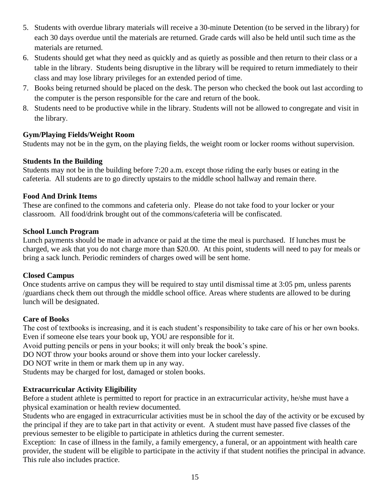- 5. Students with overdue library materials will receive a 30-minute Detention (to be served in the library) for each 30 days overdue until the materials are returned. Grade cards will also be held until such time as the materials are returned.
- 6. Students should get what they need as quickly and as quietly as possible and then return to their class or a table in the library. Students being disruptive in the library will be required to return immediately to their class and may lose library privileges for an extended period of time.
- 7. Books being returned should be placed on the desk. The person who checked the book out last according to the computer is the person responsible for the care and return of the book.
- 8. Students need to be productive while in the library. Students will not be allowed to congregate and visit in the library.

## **Gym/Playing Fields/Weight Room**

Students may not be in the gym, on the playing fields, the weight room or locker rooms without supervision.

## **Students In the Building**

Students may not be in the building before 7:20 a.m. except those riding the early buses or eating in the cafeteria. All students are to go directly upstairs to the middle school hallway and remain there.

## **Food And Drink Items**

These are confined to the commons and cafeteria only. Please do not take food to your locker or your classroom. All food/drink brought out of the commons/cafeteria will be confiscated.

#### **School Lunch Program**

Lunch payments should be made in advance or paid at the time the meal is purchased. If lunches must be charged, we ask that you do not charge more than \$20.00. At this point, students will need to pay for meals or bring a sack lunch. Periodic reminders of charges owed will be sent home.

# **Closed Campus**

Once students arrive on campus they will be required to stay until dismissal time at 3:05 pm, unless parents /guardians check them out through the middle school office. Areas where students are allowed to be during lunch will be designated.

#### **Care of Books**

The cost of textbooks is increasing, and it is each student's responsibility to take care of his or her own books. Even if someone else tears your book up, YOU are responsible for it.

Avoid putting pencils or pens in your books; it will only break the book's spine.

DO NOT throw your books around or shove them into your locker carelessly.

DO NOT write in them or mark them up in any way.

Students may be charged for lost, damaged or stolen books.

# **Extracurricular Activity Eligibility**

Before a student athlete is permitted to report for practice in an extracurricular activity, he/she must have a physical examination or health review documented.

Students who are engaged in extracurricular activities must be in school the day of the activity or be excused by the principal if they are to take part in that activity or event. A student must have passed five classes of the previous semester to be eligible to participate in athletics during the current semester.

Exception: In case of illness in the family, a family emergency, a funeral, or an appointment with health care provider, the student will be eligible to participate in the activity if that student notifies the principal in advance. This rule also includes practice.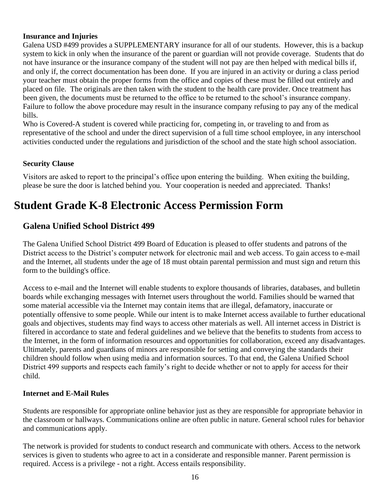#### **Insurance and Injuries**

Galena USD #499 provides a SUPPLEMENTARY insurance for all of our students. However, this is a backup system to kick in only when the insurance of the parent or guardian will not provide coverage. Students that do not have insurance or the insurance company of the student will not pay are then helped with medical bills if, and only if, the correct documentation has been done. If you are injured in an activity or during a class period your teacher must obtain the proper forms from the office and copies of these must be filled out entirely and placed on file. The originals are then taken with the student to the health care provider. Once treatment has been given, the documents must be returned to the office to be returned to the school's insurance company. Failure to follow the above procedure may result in the insurance company refusing to pay any of the medical bills.

Who is Covered-A student is covered while practicing for, competing in, or traveling to and from as representative of the school and under the direct supervision of a full time school employee, in any interschool activities conducted under the regulations and jurisdiction of the school and the state high school association.

#### **Security Clause**

Visitors are asked to report to the principal's office upon entering the building. When exiting the building, please be sure the door is latched behind you. Your cooperation is needed and appreciated. Thanks!

# **Student Grade K-8 Electronic Access Permission Form**

# **Galena Unified School District 499**

The Galena Unified School District 499 Board of Education is pleased to offer students and patrons of the District access to the District's computer network for electronic mail and web access. To gain access to e-mail and the Internet, all students under the age of 18 must obtain parental permission and must sign and return this form to the building's office.

Access to e-mail and the Internet will enable students to explore thousands of libraries, databases, and bulletin boards while exchanging messages with Internet users throughout the world. Families should be warned that some material accessible via the Internet may contain items that are illegal, defamatory, inaccurate or potentially offensive to some people. While our intent is to make Internet access available to further educational goals and objectives, students may find ways to access other materials as well. All internet access in District is filtered in accordance to state and federal guidelines and we believe that the benefits to students from access to the Internet, in the form of information resources and opportunities for collaboration, exceed any disadvantages. Ultimately, parents and guardians of minors are responsible for setting and conveying the standards their children should follow when using media and information sources. To that end, the Galena Unified School District 499 supports and respects each family's right to decide whether or not to apply for access for their child.

#### **Internet and E-Mail Rules**

Students are responsible for appropriate online behavior just as they are responsible for appropriate behavior in the classroom or hallways. Communications online are often public in nature. General school rules for behavior and communications apply.

The network is provided for students to conduct research and communicate with others. Access to the network services is given to students who agree to act in a considerate and responsible manner. Parent permission is required. Access is a privilege - not a right. Access entails responsibility.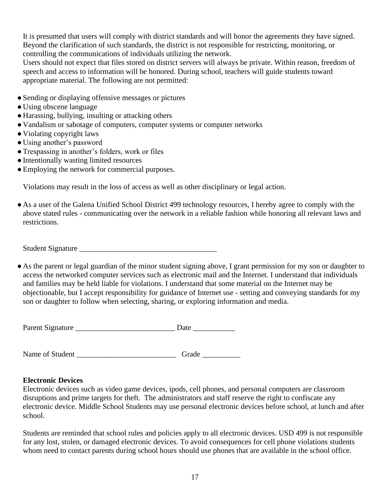It is presumed that users will comply with district standards and will honor the agreements they have signed. Beyond the clarification of such standards, the district is not responsible for restricting, monitoring, or controlling the communications of individuals utilizing the network.

Users should not expect that files stored on district servers will always be private. Within reason, freedom of speech and access to information will be honored. During school, teachers will guide students toward appropriate material. The following are not permitted:

- Sending or displaying offensive messages or pictures
- Using obscene language
- Harassing, bullying, insulting or attacking others
- Vandalism or sabotage of computers, computer systems or computer networks
- Violating copyright laws
- Using another's password
- ●Trespassing in another's folders, work or files
- ●Intentionally wasting limited resources
- Employing the network for commercial purposes.

Violations may result in the loss of access as well as other disciplinary or legal action.

● As a user of the Galena Unified School District 499 technology resources, I hereby agree to comply with the above stated rules - communicating over the network in a reliable fashion while honoring all relevant laws and restrictions.

Student Signature \_\_\_\_\_\_\_\_\_\_\_\_\_\_\_\_\_\_\_\_\_\_\_\_\_\_\_\_\_\_\_\_\_\_\_\_

● As the parent or legal guardian of the minor student signing above, I grant permission for my son or daughter to access the networked computer services such as electronic mail and the Internet. I understand that individuals and families may be held liable for violations. I understand that some material on the Internet may be objectionable, but I accept responsibility for guidance of Internet use - setting and conveying standards for my son or daughter to follow when selecting, sharing, or exploring information and media.

| Parent Signature |  |  |
|------------------|--|--|
|                  |  |  |

Name of Student \_\_\_\_\_\_\_\_\_\_\_\_\_\_\_\_\_\_\_\_\_\_\_\_\_\_ Grade \_\_\_\_\_\_\_\_\_\_

#### **Electronic Devices**

Electronic devices such as video game devices, ipods, cell phones, and personal computers are classroom disruptions and prime targets for theft. The administrators and staff reserve the right to confiscate any electronic device. Middle School Students may use personal electronic devices before school, at lunch and after school.

Students are reminded that school rules and policies apply to all electronic devices. USD 499 is not responsible for any lost, stolen, or damaged electronic devices. To avoid consequences for cell phone violations students whom need to contact parents during school hours should use phones that are available in the school office.